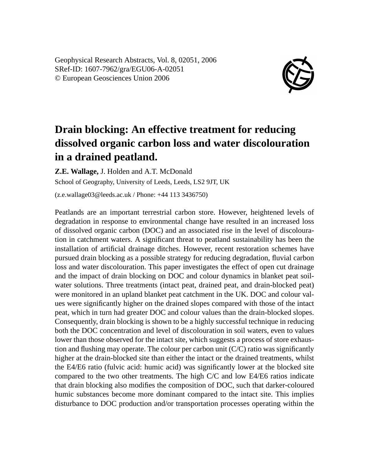Geophysical Research Abstracts, Vol. 8, 02051, 2006 SRef-ID: 1607-7962/gra/EGU06-A-02051 © European Geosciences Union 2006



## **Drain blocking: An effective treatment for reducing dissolved organic carbon loss and water discolouration in a drained peatland.**

**Z.E. Wallage,** J. Holden and A.T. McDonald School of Geography, University of Leeds, Leeds, LS2 9JT, UK (z.e.wallage03@leeds.ac.uk / Phone: +44 113 3436750)

Peatlands are an important terrestrial carbon store. However, heightened levels of degradation in response to environmental change have resulted in an increased loss of dissolved organic carbon (DOC) and an associated rise in the level of discolouration in catchment waters. A significant threat to peatland sustainability has been the installation of artificial drainage ditches. However, recent restoration schemes have pursued drain blocking as a possible strategy for reducing degradation, fluvial carbon loss and water discolouration. This paper investigates the effect of open cut drainage and the impact of drain blocking on DOC and colour dynamics in blanket peat soilwater solutions. Three treatments (intact peat, drained peat, and drain-blocked peat) were monitored in an upland blanket peat catchment in the UK. DOC and colour values were significantly higher on the drained slopes compared with those of the intact peat, which in turn had greater DOC and colour values than the drain-blocked slopes. Consequently, drain blocking is shown to be a highly successful technique in reducing both the DOC concentration and level of discolouration in soil waters, even to values lower than those observed for the intact site, which suggests a process of store exhaustion and flushing may operate. The colour per carbon unit (C/C) ratio was significantly higher at the drain-blocked site than either the intact or the drained treatments, whilst the E4/E6 ratio (fulvic acid: humic acid) was significantly lower at the blocked site compared to the two other treatments. The high C/C and low E4/E6 ratios indicate that drain blocking also modifies the composition of DOC, such that darker-coloured humic substances become more dominant compared to the intact site. This implies disturbance to DOC production and/or transportation processes operating within the